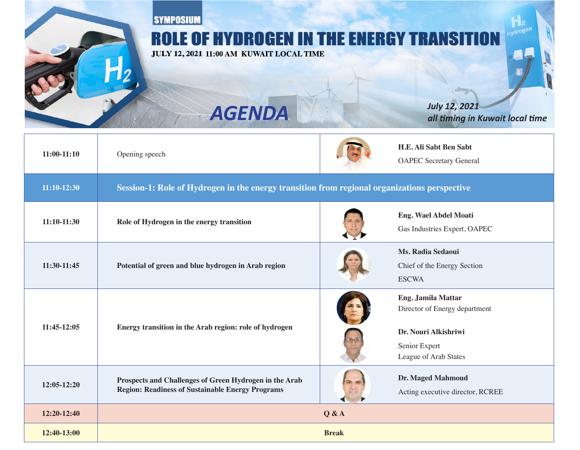**SYMPOSIUM ROLE OF HYDROGEN IN THE ENERGY TRANSITION** JULY 12, 2021 11:00 AM KUWAIT LOCAL TIME *time time AGENDA <i>AGENDA all timing in Kuwait local time* **H.E. Ali Sabt Ben Sabt 11:00-11:10** Opening speech OAPEC Secretary General **perspective organizations of Equilibration in the energy transition from regional organizations perspective Eng. Wael Abdel Moati the inity in the inity of Hydrogen in the energy transition** Gas Industries Expert, OAPEC **Ms. Radia Sedaoui** 

**region 11:30-11:45 region** Potential of green and blue hydrogen in Arab region

**herogen of Figure 11:45-12:05 herogy transition in the Arab region: role of hydrogen** 

Prospects and Challenges of Green Hydrogen in the Arab

**Region: Readiness of Sustainable Energy Programs** 

Chief of the Energy Section **ESCWA** 

**Eng. Jamila Mattar** Director of Energy department

**Dr. Nouri Alkishriwi** Senior Expert League of Arab States

**Dr. Maged Mahmoud** Acting executive director, RCREE

**A**  $\alpha$  **12:20-12:40** 

**Break 12:40-13:00**

**12:05-12:20**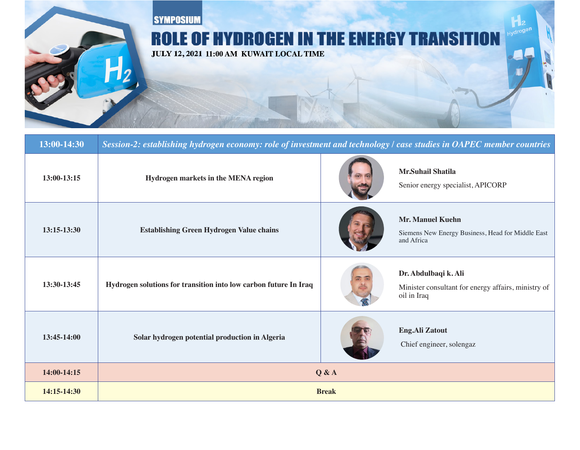

| 13:00-14:30   | Session-2: establishing hydrogen economy: role of investment and technology / case studies in OAPEC member countries |  |                                                                                            |  |
|---------------|----------------------------------------------------------------------------------------------------------------------|--|--------------------------------------------------------------------------------------------|--|
| $13:00-13:15$ | Hydrogen markets in the MENA region                                                                                  |  | <b>Mr.Suhail Shatila</b><br>Senior energy specialist, APICORP                              |  |
| $13:15-13:30$ | <b>Establishing Green Hydrogen Value chains</b>                                                                      |  | <b>Mr. Manuel Kuehn</b><br>Siemens New Energy Business, Head for Middle East<br>and Africa |  |
| 13:30-13:45   | Hydrogen solutions for transition into low carbon future In Iraq                                                     |  | Dr. Abdulbaqi k. Ali<br>Minister consultant for energy affairs, ministry of<br>oil in Iraq |  |
| 13:45-14:00   | Solar hydrogen potential production in Algeria                                                                       |  | <b>Eng.Ali Zatout</b><br>Chief engineer, solengaz                                          |  |
| 14:00-14:15   | Q & A                                                                                                                |  |                                                                                            |  |
| 14:15-14:30   | <b>Break</b>                                                                                                         |  |                                                                                            |  |